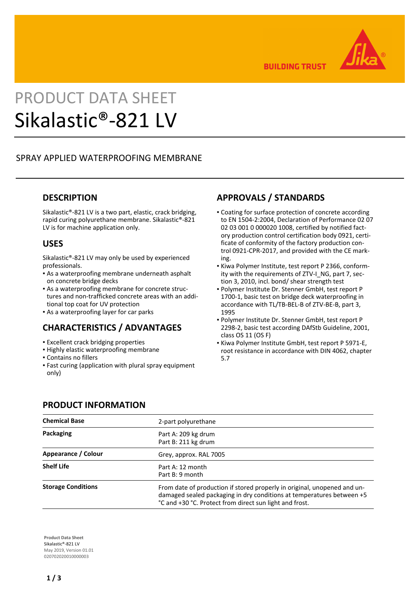

**BUILDING TRUST** 

# PRODUCT DATA SHEET Sikalastic®-821 LV

## SPRAY APPLIED WATERPROOFING MEMBRANE

#### **DESCRIPTION**

Sikalastic®-821 LV is a two part, elastic, crack bridging, rapid curing polyurethane membrane. Sikalastic®-821 LV is for machine application only.

#### **USES**

Sikalastic®-821 LV may only be used by experienced professionals.

- **-** As a waterproofing membrane underneath asphalt on concrete bridge decks
- As a waterproofing membrane for concrete struc-▪ tures and non-trafficked concrete areas with an additional top coat for UV protection
- **As a waterproofing layer for car parks**

## **CHARACTERISTICS / ADVANTAGES**

- **Excellent crack bridging properties**
- **.** Highly elastic waterproofing membrane
- Contains no fillers
- Fast curing (application with plural spray equipment only)

# **APPROVALS / STANDARDS**

- Coating for surface protection of concrete according to EN 1504-2:2004, Declaration of Performance 02 07 02 03 001 0 000020 1008, certified by notified factory production control certification body 0921, certificate of conformity of the factory production control 0921-CPR-2017, and provided with the CE marking.
- Kiwa Polymer Institute, test report P 2366, conform-▪ ity with the requirements of ZTV-I NG, part 7, section 3, 2010, incl. bond/ shear strength test
- Polymer Institute Dr. Stenner GmbH, test report P 1700-1, basic test on bridge deck waterproofing in accordance with TL/TB-BEL-B of ZTV-BE-B, part 3, 1995
- Polymer Institute Dr. Stenner GmbH, test report P 2298-2, basic test according DAfStb Guideline, 2001, class OS 11 (OS F)
- **Kiwa Polymer Institute GmbH, test report P 5971-E,** root resistance in accordance with DIN 4062, chapter 5.7

#### **PRODUCT INFORMATION**

| <b>Chemical Base</b>      | 2-part polyurethane                                                                                                                                                                                          |  |  |
|---------------------------|--------------------------------------------------------------------------------------------------------------------------------------------------------------------------------------------------------------|--|--|
| Packaging                 | Part A: 209 kg drum<br>Part B: 211 kg drum                                                                                                                                                                   |  |  |
| Appearance / Colour       | Grey, approx. RAL 7005                                                                                                                                                                                       |  |  |
| <b>Shelf Life</b>         | Part A: 12 month<br>Part B: 9 month                                                                                                                                                                          |  |  |
| <b>Storage Conditions</b> | From date of production if stored properly in original, unopened and un-<br>damaged sealed packaging in dry conditions at temperatures between +5<br>°C and +30 °C. Protect from direct sun light and frost. |  |  |

**Product Data Sheet** Sikalastic®-821 LV May 2019, Version 01.01 020702020010000003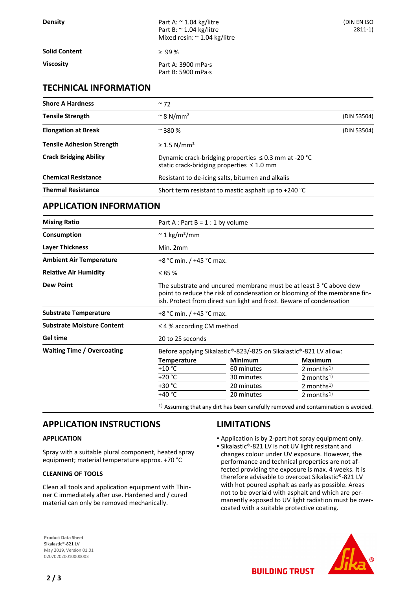#### **TECHNICAL INFORMATION**

| <b>Shore A Hardness</b>          | $~\sim$ 72                                                                                                  |             |  |
|----------------------------------|-------------------------------------------------------------------------------------------------------------|-------------|--|
| <b>Tensile Strength</b>          | $\approx$ 8 N/mm <sup>2</sup>                                                                               | (DIN 53504) |  |
| <b>Elongation at Break</b>       | $~\sim$ 380 %                                                                                               | (DIN 53504) |  |
| <b>Tensile Adhesion Strength</b> | $\geq$ 1.5 N/mm <sup>2</sup>                                                                                |             |  |
| <b>Crack Bridging Ability</b>    | Dynamic crack-bridging properties $\leq$ 0.3 mm at -20 °C<br>static crack-bridging properties $\leq 1.0$ mm |             |  |
| <b>Chemical Resistance</b>       | Resistant to de-icing salts, bitumen and alkalis                                                            |             |  |
| <b>Thermal Resistance</b>        | Short term resistant to mastic asphalt up to $+240$ °C                                                      |             |  |

#### **APPLICATION INFORMATION**

| <b>Mixing Ratio</b>               | Part A : Part B = $1:1$ by volume                                                                                                                                                                                       |                |                        |  |  |
|-----------------------------------|-------------------------------------------------------------------------------------------------------------------------------------------------------------------------------------------------------------------------|----------------|------------------------|--|--|
| Consumption                       | $\approx$ 1 kg/m <sup>2</sup> /mm                                                                                                                                                                                       |                |                        |  |  |
| <b>Layer Thickness</b>            | Min. 2mm                                                                                                                                                                                                                |                |                        |  |  |
| <b>Ambient Air Temperature</b>    | +8 °C min. / +45 °C max.                                                                                                                                                                                                |                |                        |  |  |
| <b>Relative Air Humidity</b>      | ≤ 85 $%$                                                                                                                                                                                                                |                |                        |  |  |
| <b>Dew Point</b>                  | The substrate and uncured membrane must be at least 3 °C above dew<br>point to reduce the risk of condensation or blooming of the membrane fin-<br>ish. Protect from direct sun light and frost. Beware of condensation |                |                        |  |  |
| <b>Substrate Temperature</b>      | +8 °C min. / +45 °C max.                                                                                                                                                                                                |                |                        |  |  |
| <b>Substrate Moisture Content</b> | $\leq$ 4 % according CM method                                                                                                                                                                                          |                |                        |  |  |
| <b>Gel time</b>                   | 20 to 25 seconds                                                                                                                                                                                                        |                |                        |  |  |
| <b>Waiting Time / Overcoating</b> | Before applying Sikalastic®-823/-825 on Sikalastic®-821 LV allow:                                                                                                                                                       |                |                        |  |  |
|                                   | <b>Temperature</b>                                                                                                                                                                                                      | <b>Minimum</b> | <b>Maximum</b>         |  |  |
|                                   | $+10$ °C                                                                                                                                                                                                                | 60 minutes     | 2 months $1$ )         |  |  |
|                                   | $+20 °C$                                                                                                                                                                                                                | 30 minutes     | 2 months $1$ )         |  |  |
|                                   | $+30 °C$                                                                                                                                                                                                                | 20 minutes     | 2 months $1$ )         |  |  |
|                                   | +40 °C                                                                                                                                                                                                                  | 20 minutes     | 2 months <sup>1)</sup> |  |  |
|                                   |                                                                                                                                                                                                                         |                |                        |  |  |

1) Assuming that any dirt has been carefully removed and contamination is avoided.

#### **APPLICATION INSTRUCTIONS**

#### **APPLICATION**

Spray with a suitable plural component, heated spray equipment; material temperature approx. +70 °C

#### **CLEANING OF TOOLS**

Clean all tools and application equipment with Thinner C immediately after use. Hardened and / cured material can only be removed mechanically.

#### **LIMITATIONS**

- Application is by 2-part hot spray equipment only.
- Sikalastic®-821 LV is not UV light resistant and changes colour under UV exposure. However, the performance and technical properties are not affected providing the exposure is max. 4 weeks. It is therefore advisable to overcoat Sikalastic®-821 LV with hot poured asphalt as early as possible. Areas not to be overlaid with asphalt and which are permanently exposed to UV light radiation must be overcoated with a suitable protective coating.

**BUILDING TRUST** 

**Product Data Sheet** Sikalastic®-821 LV May 2019, Version 01.01 020702020010000003